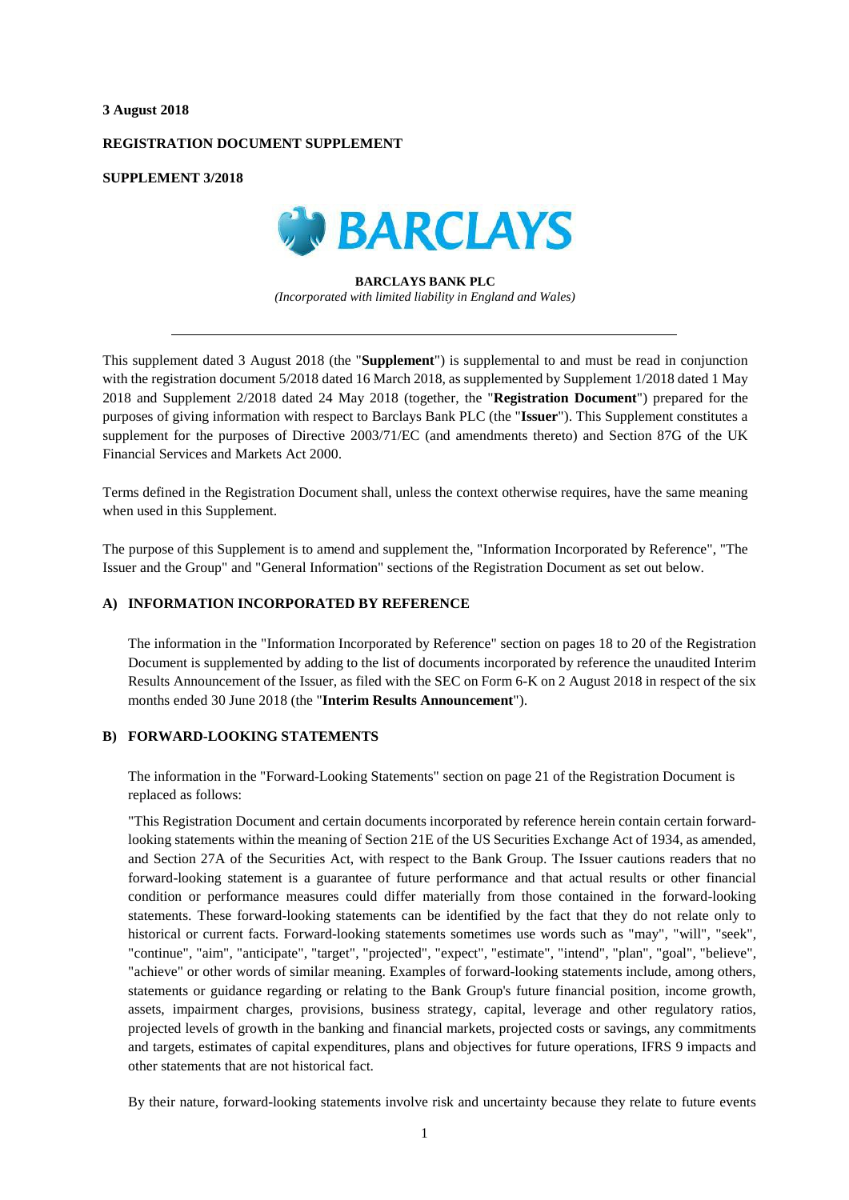#### **3 August 2018**

### **REGISTRATION DOCUMENT SUPPLEMENT**

### **SUPPLEMENT 3/2018**



**BARCLAYS BANK PLC** *(Incorporated with limited liability in England and Wales)*

This supplement dated 3 August 2018 (the "**Supplement**") is supplemental to and must be read in conjunction with the registration document 5/2018 dated 16 March 2018, as supplemented by Supplement 1/2018 dated 1 May 2018 and Supplement 2/2018 dated 24 May 2018 (together, the "**Registration Document**") prepared for the purposes of giving information with respect to Barclays Bank PLC (the "**Issuer**"). This Supplement constitutes a supplement for the purposes of Directive 2003/71/EC (and amendments thereto) and Section 87G of the UK Financial Services and Markets Act 2000.

Terms defined in the Registration Document shall, unless the context otherwise requires, have the same meaning when used in this Supplement.

The purpose of this Supplement is to amend and supplement the, "Information Incorporated by Reference", "The Issuer and the Group" and "General Information" sections of the Registration Document as set out below.

### **A) INFORMATION INCORPORATED BY REFERENCE**

The information in the "Information Incorporated by Reference" section on pages 18 to 20 of the Registration Document is supplemented by adding to the list of documents incorporated by reference the unaudited Interim Results Announcement of the Issuer, as filed with the SEC on Form 6-K on 2 August 2018 in respect of the six months ended 30 June 2018 (the "**Interim Results Announcement**").

# **B) FORWARD-LOOKING STATEMENTS**

The information in the "Forward-Looking Statements" section on page 21 of the Registration Document is replaced as follows:

"This Registration Document and certain documents incorporated by reference herein contain certain forwardlooking statements within the meaning of Section 21E of the US Securities Exchange Act of 1934, as amended, and Section 27A of the Securities Act, with respect to the Bank Group. The Issuer cautions readers that no forward-looking statement is a guarantee of future performance and that actual results or other financial condition or performance measures could differ materially from those contained in the forward-looking statements. These forward-looking statements can be identified by the fact that they do not relate only to historical or current facts. Forward-looking statements sometimes use words such as "may", "will", "seek", "continue", "aim", "anticipate", "target", "projected", "expect", "estimate", "intend", "plan", "goal", "believe", "achieve" or other words of similar meaning. Examples of forward-looking statements include, among others, statements or guidance regarding or relating to the Bank Group's future financial position, income growth, assets, impairment charges, provisions, business strategy, capital, leverage and other regulatory ratios, projected levels of growth in the banking and financial markets, projected costs or savings, any commitments and targets, estimates of capital expenditures, plans and objectives for future operations, IFRS 9 impacts and other statements that are not historical fact.

By their nature, forward-looking statements involve risk and uncertainty because they relate to future events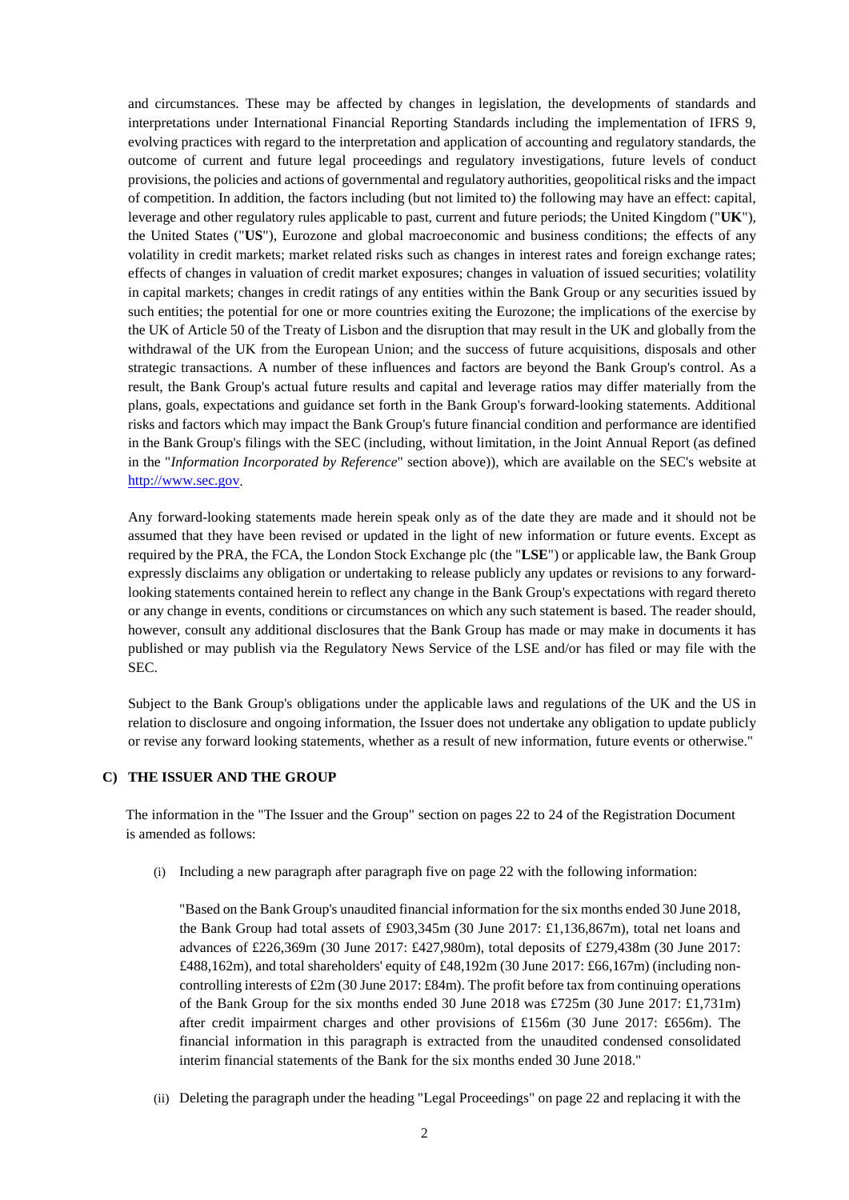and circumstances. These may be affected by changes in legislation, the developments of standards and interpretations under International Financial Reporting Standards including the implementation of IFRS 9, evolving practices with regard to the interpretation and application of accounting and regulatory standards, the outcome of current and future legal proceedings and regulatory investigations, future levels of conduct provisions, the policies and actions of governmental and regulatory authorities, geopolitical risks and the impact of competition. In addition, the factors including (but not limited to) the following may have an effect: capital, leverage and other regulatory rules applicable to past, current and future periods; the United Kingdom ("**UK**"), the United States ("**US**"), Eurozone and global macroeconomic and business conditions; the effects of any volatility in credit markets; market related risks such as changes in interest rates and foreign exchange rates; effects of changes in valuation of credit market exposures; changes in valuation of issued securities; volatility in capital markets; changes in credit ratings of any entities within the Bank Group or any securities issued by such entities; the potential for one or more countries exiting the Eurozone; the implications of the exercise by the UK of Article 50 of the Treaty of Lisbon and the disruption that may result in the UK and globally from the withdrawal of the UK from the European Union; and the success of future acquisitions, disposals and other strategic transactions. A number of these influences and factors are beyond the Bank Group's control. As a result, the Bank Group's actual future results and capital and leverage ratios may differ materially from the plans, goals, expectations and guidance set forth in the Bank Group's forward-looking statements. Additional risks and factors which may impact the Bank Group's future financial condition and performance are identified in the Bank Group's filings with the SEC (including, without limitation, in the Joint Annual Report (as defined in the "*Information Incorporated by Reference*" section above)), which are available on the SEC's website at [http://www.sec.gov.](http://www.sec.gov/)

Any forward-looking statements made herein speak only as of the date they are made and it should not be assumed that they have been revised or updated in the light of new information or future events. Except as required by the PRA, the FCA, the London Stock Exchange plc (the "**LSE**") or applicable law, the Bank Group expressly disclaims any obligation or undertaking to release publicly any updates or revisions to any forwardlooking statements contained herein to reflect any change in the Bank Group's expectations with regard thereto or any change in events, conditions or circumstances on which any such statement is based. The reader should, however, consult any additional disclosures that the Bank Group has made or may make in documents it has published or may publish via the Regulatory News Service of the LSE and/or has filed or may file with the SEC.

Subject to the Bank Group's obligations under the applicable laws and regulations of the UK and the US in relation to disclosure and ongoing information, the Issuer does not undertake any obligation to update publicly or revise any forward looking statements, whether as a result of new information, future events or otherwise."

# **C) THE ISSUER AND THE GROUP**

The information in the "The Issuer and the Group" section on pages 22 to 24 of the Registration Document is amended as follows:

(i) Including a new paragraph after paragraph five on page 22 with the following information:

"Based on the Bank Group's unaudited financial information for the six months ended 30 June 2018, the Bank Group had total assets of £903,345m (30 June 2017: £1,136,867m), total net loans and advances of £226,369m (30 June 2017: £427,980m), total deposits of £279,438m (30 June 2017: £488,162m), and total shareholders' equity of £48,192m (30 June 2017: £66,167m) (including noncontrolling interests of  $\text{\pounds}2m$  (30 June 2017:  $\text{\pounds}84m$ ). The profit before tax from continuing operations of the Bank Group for the six months ended 30 June 2018 was £725m (30 June 2017: £1,731m) after credit impairment charges and other provisions of £156m (30 June 2017: £656m). The financial information in this paragraph is extracted from the unaudited condensed consolidated interim financial statements of the Bank for the six months ended 30 June 2018."

(ii) Deleting the paragraph under the heading "Legal Proceedings" on page 22 and replacing it with the